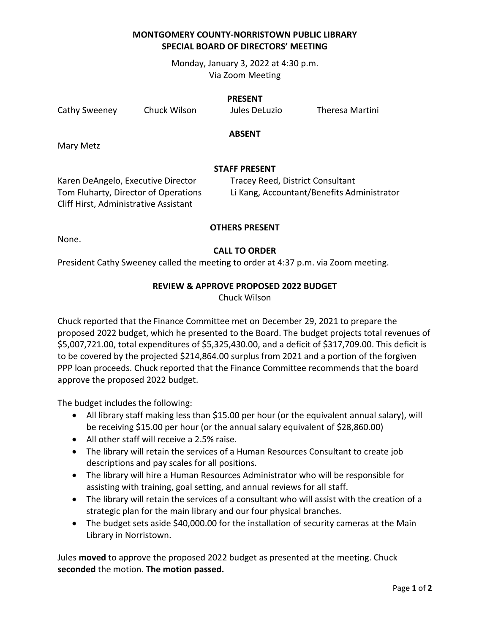# **MONTGOMERY COUNTY-NORRISTOWN PUBLIC LIBRARY SPECIAL BOARD OF DIRECTORS' MEETING**

Monday, January 3, 2022 at 4:30 p.m. Via Zoom Meeting

#### **PRESENT**

Cathy Sweeney Chuck Wilson Jules DeLuzio Theresa Martini

### **ABSENT**

Mary Metz

## **STAFF PRESENT**

Karen DeAngelo, Executive Director Tracey Reed, District Consultant Cliff Hirst, Administrative Assistant

Tom Fluharty, Director of Operations Li Kang, Accountant/Benefits Administrator

## **OTHERS PRESENT**

None.

## **CALL TO ORDER**

President Cathy Sweeney called the meeting to order at 4:37 p.m. via Zoom meeting.

## **REVIEW & APPROVE PROPOSED 2022 BUDGET**

Chuck Wilson

Chuck reported that the Finance Committee met on December 29, 2021 to prepare the proposed 2022 budget, which he presented to the Board. The budget projects total revenues of \$5,007,721.00, total expenditures of \$5,325,430.00, and a deficit of \$317,709.00. This deficit is to be covered by the projected \$214,864.00 surplus from 2021 and a portion of the forgiven PPP loan proceeds. Chuck reported that the Finance Committee recommends that the board approve the proposed 2022 budget.

The budget includes the following:

- All library staff making less than \$15.00 per hour (or the equivalent annual salary), will be receiving \$15.00 per hour (or the annual salary equivalent of \$28,860.00)
- All other staff will receive a 2.5% raise.
- The library will retain the services of a Human Resources Consultant to create job descriptions and pay scales for all positions.
- The library will hire a Human Resources Administrator who will be responsible for assisting with training, goal setting, and annual reviews for all staff.
- The library will retain the services of a consultant who will assist with the creation of a strategic plan for the main library and our four physical branches.
- The budget sets aside \$40,000.00 for the installation of security cameras at the Main Library in Norristown.

Jules **moved** to approve the proposed 2022 budget as presented at the meeting. Chuck **seconded** the motion. **The motion passed.**